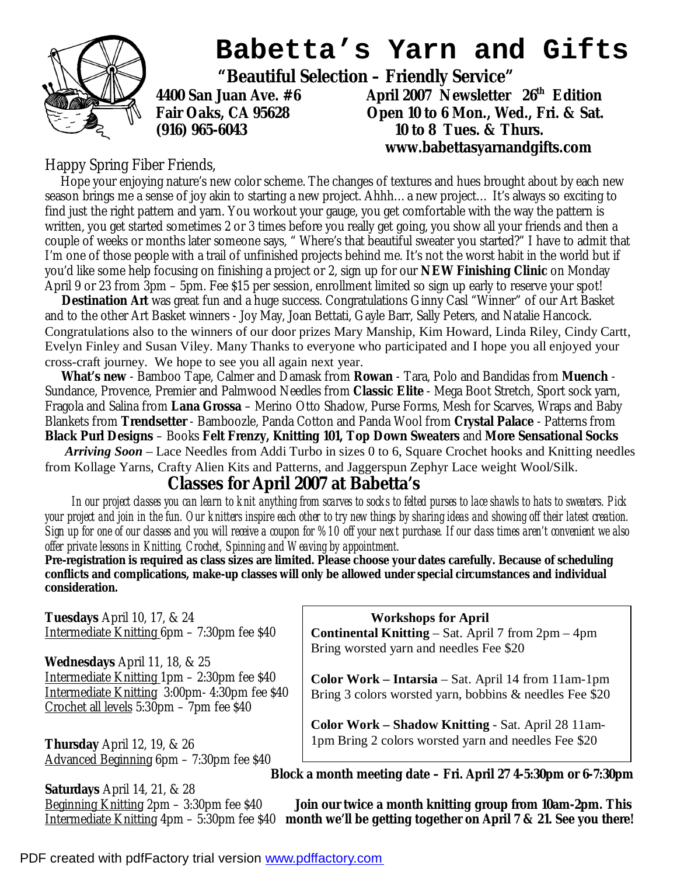

# **Babetta's Yarn and Gifts**

 **"Beautiful Selection – Friendly Service"** 

**4400 San Juan Ave. #6 April 2007 Newsletter 26th Edition Fair Oaks, CA 95628 Open 10 to 6 Mon., Wed., Fri. & Sat. (916) 965-6043 10 to 8 Tues. & Thurs. www.babettasyarnandgifts.com** 

#### Happy Spring Fiber Friends,

 Hope your enjoying nature's new color scheme. The changes of textures and hues brought about by each new season brings me a sense of joy akin to starting a new project. Ahhh…a new project… It's always so exciting to find just the right pattern and yarn. You workout your gauge, you get comfortable with the way the pattern is written, you get started sometimes 2 or 3 times before you really get going, you show all your friends and then a couple of weeks or months later someone says, " Where's that beautiful sweater you started?" I have to admit that I'm one of those people with a trail of unfinished projects behind me. It's not the worst habit in the world but if you'd like some help focusing on finishing a project or 2, sign up for our **NEW Finishing Clinic** on Monday April 9 or 23 from 3pm – 5pm. Fee \$15 per session, enrollment limited so sign up early to reserve your spot!

 *Destination Art* was great fun and a huge success. Congratulations Ginny Casl "Winner" of our Art Basket and to the other Art Basket winners - Joy May, Joan Bettati, Gayle Barr, Sally Peters, and Natalie Hancock. Congratulations also to the winners of our door prizes Mary Manship, Kim Howard, Linda Riley, Cindy Cartt, Evelyn Finley and Susan Viley. Many Thanks to everyone who participated and I hope you all enjoyed your cross-craft journey. We hope to see you all again next year.

 *What's new* - Bamboo Tape, Calmer and Damask from **Rowan** - Tara, Polo and Bandidas from **Muench** - Sundance, Provence, Premier and Palmwood Needles from **Classic Elite** - Mega Boot Stretch, Sport sock yarn, Fragola and Salina from **Lana Grossa** – Merino Otto Shadow, Purse Forms, Mesh for Scarves, Wraps and Baby Blankets from **Trendsetter** - Bamboozle, Panda Cotton and Panda Wool from **Crystal Palace** - Patterns from **Black Purl Designs** – Books **Felt Frenzy, Knitting 101, Top Down Sweaters** and **More Sensational Socks**

 *Arriving Soon* – Lace Needles from Addi Turbo in sizes 0 to 6, Square Crochet hooks and Knitting needles from Kollage Yarns, Crafty Alien Kits and Patterns, and Jaggerspun Zephyr Lace weight Wool/Silk.

### **Classes for April 2007 at Babetta's**

In our project classes you can learn to knit anything from scarves to socks to felted purses to lace shawls to hats to sweaters. Pick your project and join in the fun. Our knitters inspire each other to try new things by sharing ideas and showing off their latest creation. Sign up for one of our classes and you will receive a coupon for %10 off your next purchase. If our class times aren't convenient we also *offer private lessons in Knitting, Crochet, Spinning and Weaving by appointment.* 

**Pre-registration is required as class sizes are limited. Please choose your dates carefully. Because of scheduling conflicts and complications, make-up classes will only be allowed under special circumstances and individual consideration.** 

**Tuesdays** April 10, 17, & 24 Intermediate Knitting 6pm – 7:30pm fee \$40

**Wednesdays** April 11, 18, & 25 Intermediate Knitting 1pm – 2:30pm fee \$40 Intermediate Knitting 3:00pm- 4:30pm fee \$40 Crochet all levels 5:30pm – 7pm fee \$40

**Thursday** April 12, 19, & 26 Advanced Beginning 6pm – 7:30pm fee \$40

**Saturdays** April 14, 21, & 28

 **Workshops for April** 

**Continental Knitting** – Sat. April 7 from 2pm – 4pm Bring worsted yarn and needles Fee \$20

**Color Work – Intarsia** – Sat. April 14 from 11am-1pm Bring 3 colors worsted yarn, bobbins & needles Fee \$20

**Color Work – Shadow Knitting** - Sat. April 28 11am-1pm Bring 2 colors worsted yarn and needles Fee \$20

**Block a month meeting date – Fri. April 27 4-5:30pm or 6-7:30pm** 

Beginning Knitting 2pm – 3:30pm fee \$40 *Join our twice a month knitting group from 10am-2pm. This* Intermediate Knitting 4pm – 5:30pm fee \$40 *month we'll be getting together on April 7 & 21. See you there!*